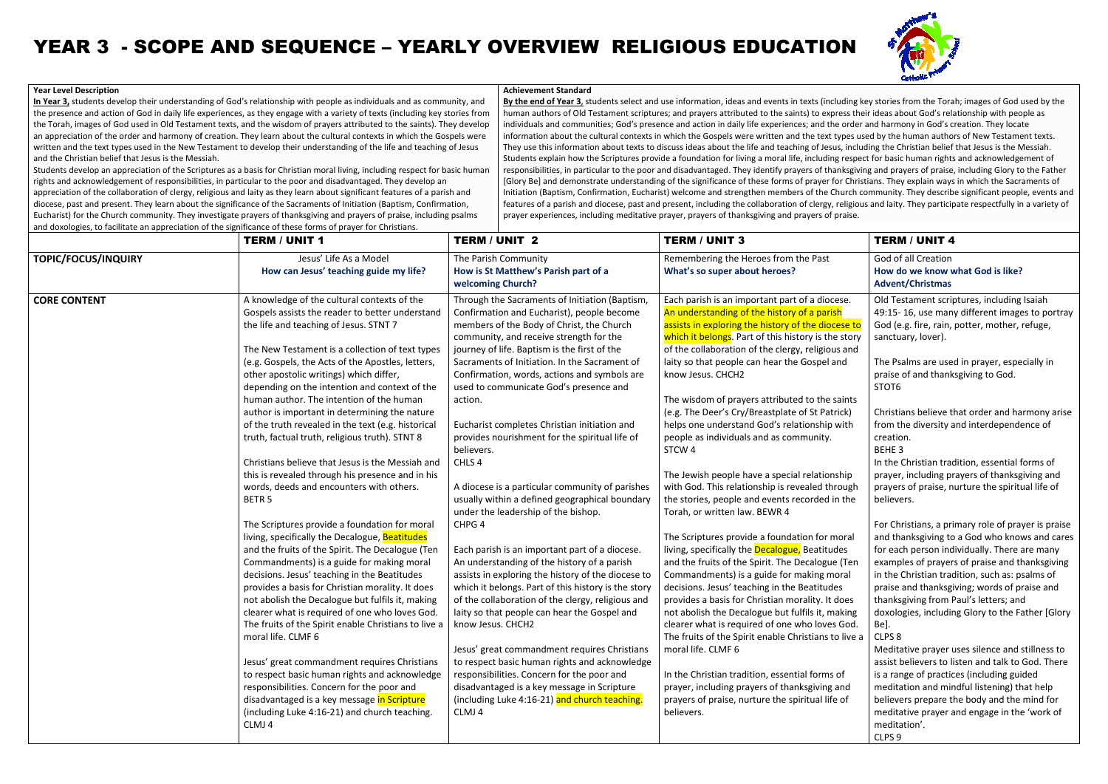**In Year 3,** students develop their understanding of God's relationship with people as individuals and as community, and <u>In Year 3,</u> students develop their understanding of God's relationship with people as individuals and as community, and<br>the presence and action of God in daily life experiences, as they engage with a variety of texts (inc the Torah, images of God used in Old Testament texts, and the wisdom of prayers attributed to the saints). They develop an appreciation of the order and harmony of creation. They learn about the cultural contexts in which the Gospels were written and the text types used in the New Testament to develop their understanding of the life and teaching of Jesus and the Christian belief that Jesus is the Messiah.

Students develop an appreciation of the Scriptures as a basis for Christian moral living, including respect for basic human rights and acknowledgement of responsibilities, in particular to the poor and disadvantaged. They develop an appreciation of the collaboration of clergy, religious and laity as they learn about significant features of a parish and diocese, past and present. They learn about the significance of the Sacraments of Initiation (Baptism, Confirmation, Eucharist) for the Church community. They investigate prayers of thanksgiving and prayers of praise, including and doxologies, to facilitate an appreciation of the significance of these forms of prayer for Christians. rights and acknowledgement of responsibilities, in particular to the poor and disadvantaged. They develop an<br>appreciation of the collaboration of clergy, religious and laity as they learn about significant features of a pa tion. They learn about the cultural contexts in which the Gospels well<br>nent to develop their understanding of the life and teaching of Jesus<br>s as a basis for Christian moral living, including respect for basic hum<br>i partic

#### **Year Level Description**

# YEAR 3 - SCOPE AND SEQUENCE – YEARLY OVERVIEW RELIGIOUS EDUCATION

**By the end of Year 3**, students select and use information, ideas and events in texts (including key stories from the Torah; images of God used by the ; by human authors of Old Testament scriptures; and prayers attributed to the saints) to express their ideas about God's relationship with people as individuals and communities; God's presence and action in daily life experiences; and the order and harmony in God's creation. They locate information about the cultural contexts in which the Gospels were written and the text types used by the human authors of They use this information about texts to discuss ideas about the life and teaching of Jesus, including the Christian belief that Jesus is the Messiah. Students explain how the Scriptures provide a foundation for living a moral life, including respect for basic human rights and acknowledgement of Students explain now the Scriptures provide a foundation for living a moral life, including respect for basic human rights and acknowledgement of<br>responsibilities, in particular to the poor and disadvantaged. They identify [Glory Be] and demonstrate understanding of the significance of these forms of prayer for Christians. They explain ways in which the Sacraments of Initiation (Baptism, Confirmation, Eucharist) welcome and strengthen members of the Church community. They describe significant people, events and) features of a parish and diocese, past and present, including the collaboration of clergy, religious and laity. They participate respectfully in a variety of prayer experiences, including meditative prayer, prayers of thanksgiving and prayers of praise.nent scriptures; and prayers attributed to the saints) to express their ideas about God's relationship with people as<br>; God's presence and action in daily life experiences; and the order and harmony in God's creation. They provide a foundation for living a moral life, including respect for basic human rights and acknowledgement of<br>oor and disadvantaged. They identify prayers of thanksgiving and prayers of praise, including Glory to the Fathe

#### **Achievement Standard**

|                     | <b>TERM / UNIT 1</b>                                                                                                                                                                                                                                                                                                                                                                                                                                                                                                                                                                                                                                                                                                                                                                                                                                                                                                                                                                                                                                                                                                                                                                                                                                                                                                                                                                                                 | <b>TERM / UNIT 2</b>                                                                                                                                                                                                                                                                                                                                                                                                                                                                                                                                                                                                                                                                                                                                                                                                                                                                                                                                                                                                                                                                                                                                                                                                                                                         | <b>TERM / UNIT 3</b>                                                                                                                                                                                                                                                                                                                                                                                                                                                                                                                                                                                                                                                                                                                                                                                                                                                                                                                                                                                                                                                                                                                                                                                                                                                                                                                                                                                        | <b>TERM / UNIT 4</b>                                                                                                                                                                                                                                                                                                                                                                                                                                                                                                                                                                                                                                                                                                                                                                                                                                                                                                                                                                                                                                                                                                                                                                                                                        |
|---------------------|----------------------------------------------------------------------------------------------------------------------------------------------------------------------------------------------------------------------------------------------------------------------------------------------------------------------------------------------------------------------------------------------------------------------------------------------------------------------------------------------------------------------------------------------------------------------------------------------------------------------------------------------------------------------------------------------------------------------------------------------------------------------------------------------------------------------------------------------------------------------------------------------------------------------------------------------------------------------------------------------------------------------------------------------------------------------------------------------------------------------------------------------------------------------------------------------------------------------------------------------------------------------------------------------------------------------------------------------------------------------------------------------------------------------|------------------------------------------------------------------------------------------------------------------------------------------------------------------------------------------------------------------------------------------------------------------------------------------------------------------------------------------------------------------------------------------------------------------------------------------------------------------------------------------------------------------------------------------------------------------------------------------------------------------------------------------------------------------------------------------------------------------------------------------------------------------------------------------------------------------------------------------------------------------------------------------------------------------------------------------------------------------------------------------------------------------------------------------------------------------------------------------------------------------------------------------------------------------------------------------------------------------------------------------------------------------------------|-------------------------------------------------------------------------------------------------------------------------------------------------------------------------------------------------------------------------------------------------------------------------------------------------------------------------------------------------------------------------------------------------------------------------------------------------------------------------------------------------------------------------------------------------------------------------------------------------------------------------------------------------------------------------------------------------------------------------------------------------------------------------------------------------------------------------------------------------------------------------------------------------------------------------------------------------------------------------------------------------------------------------------------------------------------------------------------------------------------------------------------------------------------------------------------------------------------------------------------------------------------------------------------------------------------------------------------------------------------------------------------------------------------|---------------------------------------------------------------------------------------------------------------------------------------------------------------------------------------------------------------------------------------------------------------------------------------------------------------------------------------------------------------------------------------------------------------------------------------------------------------------------------------------------------------------------------------------------------------------------------------------------------------------------------------------------------------------------------------------------------------------------------------------------------------------------------------------------------------------------------------------------------------------------------------------------------------------------------------------------------------------------------------------------------------------------------------------------------------------------------------------------------------------------------------------------------------------------------------------------------------------------------------------|
| TOPIC/FOCUS/INQUIRY | Jesus' Life As a Model<br>How can Jesus' teaching guide my life?                                                                                                                                                                                                                                                                                                                                                                                                                                                                                                                                                                                                                                                                                                                                                                                                                                                                                                                                                                                                                                                                                                                                                                                                                                                                                                                                                     | The Parish Community<br>How is St Matthew's Parish part of a<br>welcoming Church?                                                                                                                                                                                                                                                                                                                                                                                                                                                                                                                                                                                                                                                                                                                                                                                                                                                                                                                                                                                                                                                                                                                                                                                            | Remembering the Heroes from the Past<br>What's so super about heroes?                                                                                                                                                                                                                                                                                                                                                                                                                                                                                                                                                                                                                                                                                                                                                                                                                                                                                                                                                                                                                                                                                                                                                                                                                                                                                                                                       | God of all Creation<br>How do we know what God is like?<br><b>Advent/Christmas</b>                                                                                                                                                                                                                                                                                                                                                                                                                                                                                                                                                                                                                                                                                                                                                                                                                                                                                                                                                                                                                                                                                                                                                          |
| <b>CORE CONTENT</b> | A knowledge of the cultural contexts of the<br>Gospels assists the reader to better understand<br>the life and teaching of Jesus. STNT 7<br>The New Testament is a collection of text types<br>(e.g. Gospels, the Acts of the Apostles, letters,<br>other apostolic writings) which differ,<br>depending on the intention and context of the<br>human author. The intention of the human<br>author is important in determining the nature<br>of the truth revealed in the text (e.g. historical<br>truth, factual truth, religious truth). STNT 8<br>Christians believe that Jesus is the Messiah and<br>this is revealed through his presence and in his<br>words, deeds and encounters with others.<br>BETR <sub>5</sub><br>The Scriptures provide a foundation for moral<br>living, specifically the Decalogue, Beatitudes<br>and the fruits of the Spirit. The Decalogue (Ten<br>Commandments) is a guide for making moral<br>decisions. Jesus' teaching in the Beatitudes<br>provides a basis for Christian morality. It does<br>not abolish the Decalogue but fulfils it, making<br>clearer what is required of one who loves God.<br>The fruits of the Spirit enable Christians to live a<br>moral life. CLMF 6<br>Jesus' great commandment requires Christians<br>to respect basic human rights and acknowledge<br>responsibilities. Concern for the poor and<br>disadvantaged is a key message in Scripture | Through the Sacraments of Initiation (Baptism,<br>Confirmation and Eucharist), people become<br>members of the Body of Christ, the Church<br>community, and receive strength for the<br>journey of life. Baptism is the first of the<br>Sacraments of Initiation. In the Sacrament of<br>Confirmation, words, actions and symbols are<br>used to communicate God's presence and<br>action.<br>Eucharist completes Christian initiation and<br>provides nourishment for the spiritual life of<br>believers.<br>CHLS <sub>4</sub><br>A diocese is a particular community of parishes<br>usually within a defined geographical boundary<br>under the leadership of the bishop.<br>CHPG 4<br>Each parish is an important part of a diocese.<br>An understanding of the history of a parish<br>assists in exploring the history of the diocese to<br>which it belongs. Part of this history is the story<br>of the collaboration of the clergy, religious and<br>laity so that people can hear the Gospel and<br>know Jesus. CHCH2<br>Jesus' great commandment requires Christians<br>to respect basic human rights and acknowledge<br>responsibilities. Concern for the poor and<br>disadvantaged is a key message in Scripture<br>(including Luke 4:16-21) and church teaching. | Each parish is an important part of a diocese.<br>An understanding of the history of a parish<br>assists in exploring the history of the diocese to<br>which it belongs. Part of this history is the story<br>of the collaboration of the clergy, religious and<br>laity so that people can hear the Gospel and<br>know Jesus. CHCH2<br>The wisdom of prayers attributed to the saints<br>(e.g. The Deer's Cry/Breastplate of St Patrick)<br>helps one understand God's relationship with<br>people as individuals and as community.<br>STCW <sub>4</sub><br>The Jewish people have a special relationship<br>with God. This relationship is revealed through<br>the stories, people and events recorded in the<br>Torah, or written law. BEWR 4<br>The Scriptures provide a foundation for moral<br>living, specifically the <b>Decalogue</b> , Beatitudes<br>and the fruits of the Spirit. The Decalogue (Ter<br>Commandments) is a guide for making moral<br>decisions. Jesus' teaching in the Beatitudes<br>provides a basis for Christian morality. It does<br>not abolish the Decalogue but fulfils it, making<br>clearer what is required of one who loves God.<br>The fruits of the Spirit enable Christians to live a<br>moral life. CLMF 6<br>In the Christian tradition, essential forms of<br>prayer, including prayers of thanksgiving and<br>prayers of praise, nurture the spiritual life of | Old Testament scriptures, including Isaiah<br>49:15-16, use many different images to portray<br>God (e.g. fire, rain, potter, mother, refuge,<br>sanctuary, lover).<br>The Psalms are used in prayer, especially in<br>praise of and thanksgiving to God.<br>STOT6<br>Christians believe that order and harmony arise<br>from the diversity and interdependence of<br>creation.<br>BEHE 3<br>In the Christian tradition, essential forms of<br>prayer, including prayers of thanksgiving and<br>prayers of praise, nurture the spiritual life of<br>believers.<br>For Christians, a primary role of prayer is praise<br>and thanksgiving to a God who knows and cares<br>for each person individually. There are many<br>examples of prayers of praise and thanksgiving<br>in the Christian tradition, such as: psalms of<br>praise and thanksgiving; words of praise and<br>thanksgiving from Paul's letters; and<br>doxologies, including Glory to the Father [Glory<br>Be].<br>CLPS 8<br>Meditative prayer uses silence and stillness to<br>assist believers to listen and talk to God. There<br>is a range of practices (including guided<br>meditation and mindful listening) that help<br>believers prepare the body and the mind for |
|                     | (including Luke 4:16-21) and church teaching.<br>CLMJ 4                                                                                                                                                                                                                                                                                                                                                                                                                                                                                                                                                                                                                                                                                                                                                                                                                                                                                                                                                                                                                                                                                                                                                                                                                                                                                                                                                              | CLMJ <sub>4</sub>                                                                                                                                                                                                                                                                                                                                                                                                                                                                                                                                                                                                                                                                                                                                                                                                                                                                                                                                                                                                                                                                                                                                                                                                                                                            | believers.                                                                                                                                                                                                                                                                                                                                                                                                                                                                                                                                                                                                                                                                                                                                                                                                                                                                                                                                                                                                                                                                                                                                                                                                                                                                                                                                                                                                  | meditative prayer and engage in the 'work of<br>meditation'.<br>CLPS <sub>9</sub>                                                                                                                                                                                                                                                                                                                                                                                                                                                                                                                                                                                                                                                                                                                                                                                                                                                                                                                                                                                                                                                                                                                                                           |

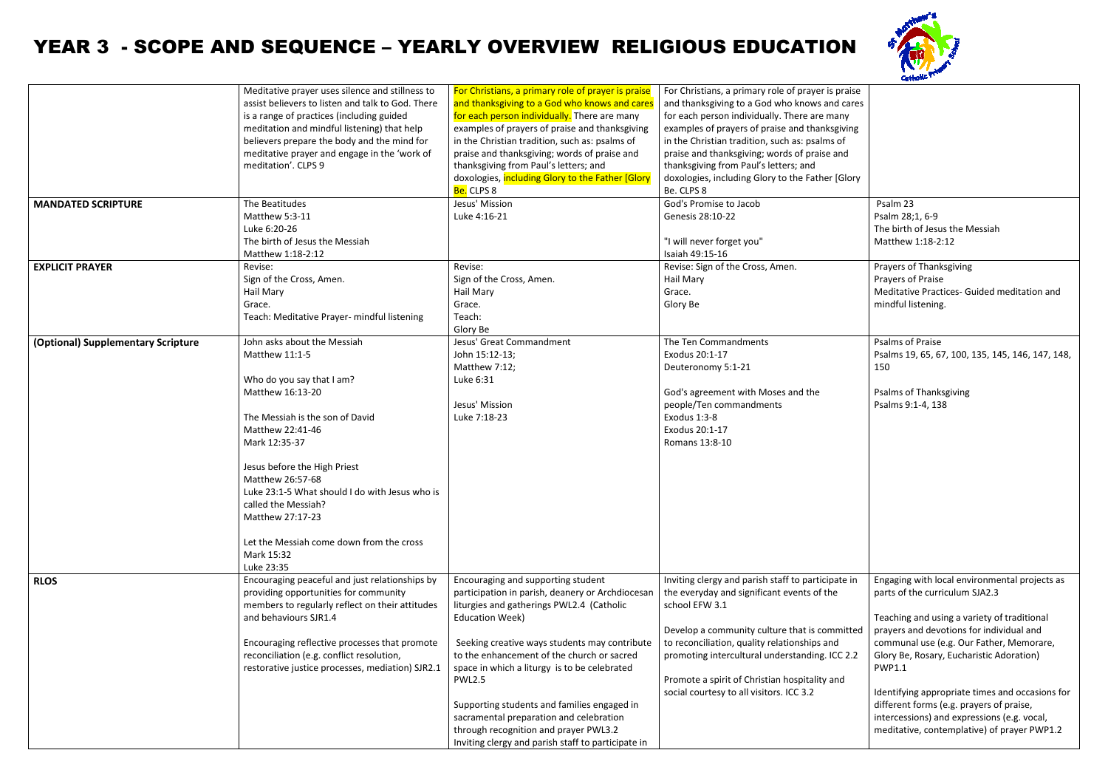## YEAR 3 - SCOPE AND SEQUENCE – YEARLY OVERVIEW RELIGIOUS EDUCATION

|                                    | Meditative prayer uses silence and stillness to   | For Christians, a primary role of prayer is praise | For Christians, a primary role of prayer is praise |                                                  |
|------------------------------------|---------------------------------------------------|----------------------------------------------------|----------------------------------------------------|--------------------------------------------------|
|                                    | assist believers to listen and talk to God. There | and thanksgiving to a God who knows and cares      | and thanksgiving to a God who knows and cares      |                                                  |
|                                    | is a range of practices (including guided         | for each person individually. There are many       | for each person individually. There are many       |                                                  |
|                                    | meditation and mindful listening) that help       | examples of prayers of praise and thanksgiving     | examples of prayers of praise and thanksgiving     |                                                  |
|                                    | believers prepare the body and the mind for       | in the Christian tradition, such as: psalms of     | in the Christian tradition, such as: psalms of     |                                                  |
|                                    | meditative prayer and engage in the 'work of      | praise and thanksgiving; words of praise and       | praise and thanksgiving; words of praise and       |                                                  |
|                                    | meditation'. CLPS 9                               | thanksgiving from Paul's letters; and              | thanksgiving from Paul's letters; and              |                                                  |
|                                    |                                                   |                                                    |                                                    |                                                  |
|                                    |                                                   | doxologies, including Glory to the Father [Glory   | doxologies, including Glory to the Father [Glory   |                                                  |
|                                    |                                                   | <mark>Be.</mark> CLPS 8                            | Be. CLPS 8                                         |                                                  |
| <b>MANDATED SCRIPTURE</b>          | The Beatitudes                                    | Jesus' Mission                                     | God's Promise to Jacob                             | Psalm 23                                         |
|                                    | Matthew 5:3-11                                    | Luke 4:16-21                                       | Genesis 28:10-22                                   | Psalm 28;1, 6-9                                  |
|                                    | Luke 6:20-26                                      |                                                    |                                                    | The birth of Jesus the Messiah                   |
|                                    | The birth of Jesus the Messiah                    |                                                    | "I will never forget you"                          | Matthew 1:18-2:12                                |
|                                    | Matthew 1:18-2:12                                 |                                                    | Isaiah 49:15-16                                    |                                                  |
| <b>EXPLICIT PRAYER</b>             | Revise:                                           | Revise:                                            | Revise: Sign of the Cross, Amen.                   | Prayers of Thanksgiving                          |
|                                    | Sign of the Cross, Amen.                          | Sign of the Cross, Amen.                           | Hail Mary                                          | Prayers of Praise                                |
|                                    |                                                   |                                                    |                                                    |                                                  |
|                                    | Hail Mary                                         | Hail Mary                                          | Grace.                                             | Meditative Practices- Guided meditation and      |
|                                    | Grace.                                            | Grace.                                             | Glory Be                                           | mindful listening.                               |
|                                    | Teach: Meditative Prayer- mindful listening       | Teach:                                             |                                                    |                                                  |
|                                    |                                                   | Glory Be                                           |                                                    |                                                  |
| (Optional) Supplementary Scripture | John asks about the Messiah                       | Jesus' Great Commandment                           | The Ten Commandments                               | Psalms of Praise                                 |
|                                    | Matthew 11:1-5                                    | John 15:12-13;                                     | Exodus 20:1-17                                     | Psalms 19, 65, 67, 100, 135, 145, 146, 147, 148, |
|                                    |                                                   | Matthew 7:12;                                      | Deuteronomy 5:1-21                                 | 150                                              |
|                                    | Who do you say that I am?                         | Luke 6:31                                          |                                                    |                                                  |
|                                    | Matthew 16:13-20                                  |                                                    | God's agreement with Moses and the                 | <b>Psalms of Thanksgiving</b>                    |
|                                    |                                                   | Jesus' Mission                                     | people/Ten commandments                            | Psalms 9:1-4, 138                                |
|                                    | The Messiah is the son of David                   | Luke 7:18-23                                       | Exodus 1:3-8                                       |                                                  |
|                                    |                                                   |                                                    | Exodus 20:1-17                                     |                                                  |
|                                    | Matthew 22:41-46                                  |                                                    |                                                    |                                                  |
|                                    | Mark 12:35-37                                     |                                                    | Romans 13:8-10                                     |                                                  |
|                                    |                                                   |                                                    |                                                    |                                                  |
|                                    | Jesus before the High Priest                      |                                                    |                                                    |                                                  |
|                                    | Matthew 26:57-68                                  |                                                    |                                                    |                                                  |
|                                    | Luke 23:1-5 What should I do with Jesus who is    |                                                    |                                                    |                                                  |
|                                    | called the Messiah?                               |                                                    |                                                    |                                                  |
|                                    | Matthew 27:17-23                                  |                                                    |                                                    |                                                  |
|                                    |                                                   |                                                    |                                                    |                                                  |
|                                    | Let the Messiah come down from the cross          |                                                    |                                                    |                                                  |
|                                    | Mark 15:32                                        |                                                    |                                                    |                                                  |
|                                    | Luke 23:35                                        |                                                    |                                                    |                                                  |
|                                    | Encouraging peaceful and just relationships by    | Encouraging and supporting student                 | Inviting clergy and parish staff to participate in | Engaging with local environmental projects as    |
| <b>RLOS</b>                        |                                                   |                                                    |                                                    |                                                  |
|                                    | providing opportunities for community             | participation in parish, deanery or Archdiocesan   | the everyday and significant events of the         | parts of the curriculum SJA2.3                   |
|                                    | members to regularly reflect on their attitudes   | liturgies and gatherings PWL2.4 (Catholic          | school EFW 3.1                                     |                                                  |
|                                    | and behaviours SJR1.4                             | <b>Education Week)</b>                             |                                                    | Teaching and using a variety of traditional      |
|                                    |                                                   |                                                    | Develop a community culture that is committed      | prayers and devotions for individual and         |
|                                    | Encouraging reflective processes that promote     | Seeking creative ways students may contribute      | to reconciliation, quality relationships and       | communal use (e.g. Our Father, Memorare,         |
|                                    | reconciliation (e.g. conflict resolution,         | to the enhancement of the church or sacred         | promoting intercultural understanding. ICC 2.2     | Glory Be, Rosary, Eucharistic Adoration)         |
|                                    | restorative justice processes, mediation) SJR2.1  | space in which a liturgy is to be celebrated       |                                                    | <b>PWP1.1</b>                                    |
|                                    |                                                   | <b>PWL2.5</b>                                      | Promote a spirit of Christian hospitality and      |                                                  |
|                                    |                                                   |                                                    | social courtesy to all visitors. ICC 3.2           | Identifying appropriate times and occasions for  |
|                                    |                                                   | Supporting students and families engaged in        |                                                    | different forms (e.g. prayers of praise,         |
|                                    |                                                   | sacramental preparation and celebration            |                                                    | intercessions) and expressions (e.g. vocal,      |
|                                    |                                                   |                                                    |                                                    |                                                  |
|                                    |                                                   | through recognition and prayer PWL3.2              |                                                    | meditative, contemplative) of prayer PWP1.2      |
|                                    |                                                   | Inviting clergy and parish staff to participate in |                                                    |                                                  |